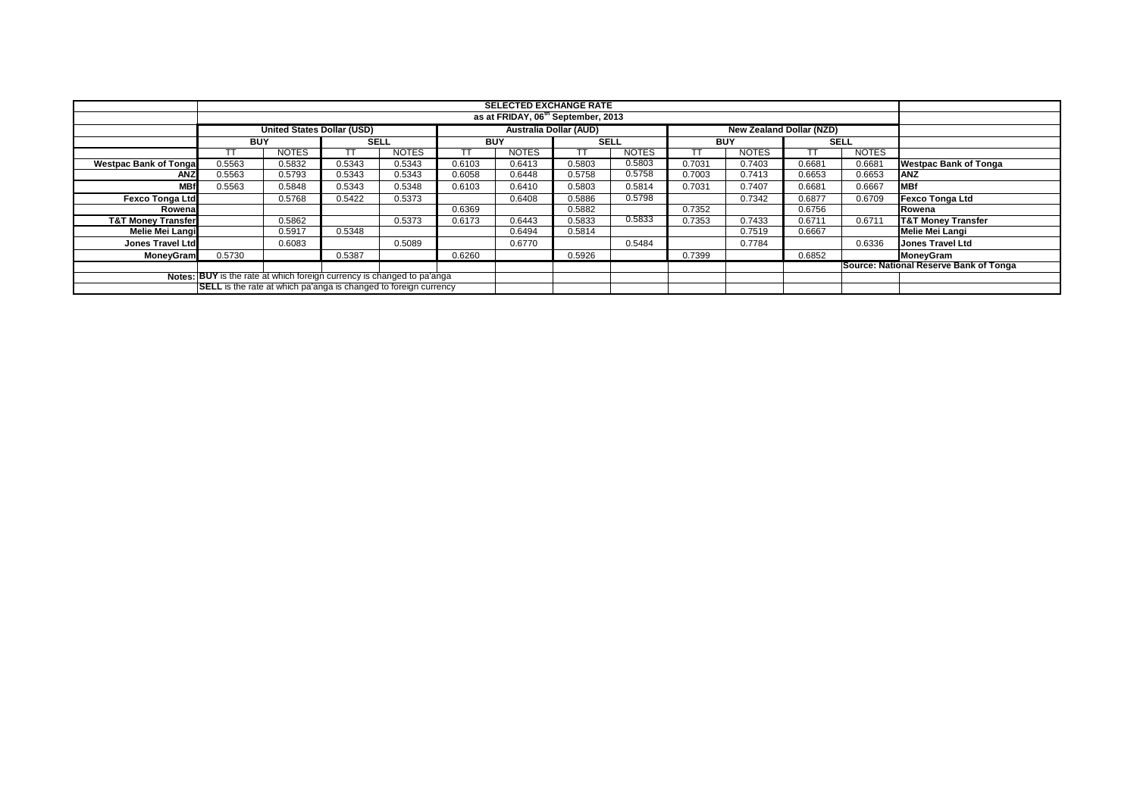|                                                                         |            |                                   |        |              |            | <b>SELECTED EXCHANGE RATE</b><br>as at FRIDAY, 06 <sup>th</sup> September, 2013 |             |              |            |              |                          |              |                                        |
|-------------------------------------------------------------------------|------------|-----------------------------------|--------|--------------|------------|---------------------------------------------------------------------------------|-------------|--------------|------------|--------------|--------------------------|--------------|----------------------------------------|
|                                                                         |            |                                   |        |              |            |                                                                                 |             |              |            |              |                          |              |                                        |
|                                                                         |            | <b>United States Dollar (USD)</b> |        |              |            | <b>Australia Dollar (AUD)</b>                                                   |             |              |            |              | New Zealand Dollar (NZD) |              |                                        |
|                                                                         | <b>BUY</b> |                                   | SELL   |              | <b>BUY</b> |                                                                                 | <b>SELL</b> |              | <b>BUY</b> |              | <b>SELL</b>              |              |                                        |
|                                                                         |            | <b>NOTES</b>                      |        | <b>NOTES</b> |            | <b>NOTES</b>                                                                    | тт          | <b>NOTES</b> |            | <b>NOTES</b> |                          | <b>NOTES</b> |                                        |
| <b>Westpac Bank of Tonga</b>                                            | 0.5563     | 0.5832                            | 0.5343 | 0.5343       | 0.6103     | 0.6413                                                                          | 0.5803      | 0.5803       | 0.7031     | 0.7403       | 0.6681                   | 0.6681       | <b>Westpac Bank of Tonga</b>           |
| <b>ANZ</b>                                                              | 0.5563     | 0.5793                            | 0.5343 | 0.5343       | 0.6058     | 0.6448                                                                          | 0.5758      | 0.5758       | 0.7003     | 0.7413       | 0.6653                   | 0.6653       | <b>ANZ</b>                             |
| <b>MBf</b>                                                              | 0.5563     | 0.5848                            | 0.5343 | 0.5348       | 0.6103     | 0.6410                                                                          | 0.5803      | 0.5814       | 0.7031     | 0.7407       | 0.6681                   | 0.6667       | <b>MBf</b>                             |
| <b>Fexco Tonga Ltd</b>                                                  |            | 0.5768                            | 0.5422 | 0.5373       |            | 0.6408                                                                          | 0.5886      | 0.5798       |            | 0.7342       | 0.6877                   | 0.6709       | <b>Fexco Tonga Ltd</b>                 |
| Rowena                                                                  |            |                                   |        |              | 0.6369     |                                                                                 | 0.5882      |              | 0.7352     |              | 0.6756                   |              | Rowena                                 |
| <b>T&amp;T Money Transfer</b>                                           |            | 0.5862                            |        | 0.5373       | 0.6173     | 0.6443                                                                          | 0.5833      | 0.5833       | 0.7353     | 0.7433       | 0.6711                   | 0.6711       | <b>T&amp;T Money Transfer</b>          |
| Melie Mei Langi                                                         |            | 0.5917                            | 0.5348 |              |            | 0.6494                                                                          | 0.5814      |              |            | 0.7519       | 0.6667                   |              | Melie Mei Langi                        |
| <b>Jones Travel Ltd</b>                                                 |            | 0.6083                            |        | 0.5089       |            | 0.6770                                                                          |             | 0.5484       |            | 0.7784       |                          | 0.6336       | <b>Jones Travel Ltd</b>                |
| MoneyGram                                                               | 0.5730     |                                   | 0.5387 |              | 0.6260     |                                                                                 | 0.5926      |              | 0.7399     |              | 0.6852                   |              | MoneyGram                              |
|                                                                         |            |                                   |        |              |            |                                                                                 |             |              |            |              |                          |              | Source: National Reserve Bank of Tonga |
| Notes: BUY is the rate at which foreign currency is changed to pa'anga  |            |                                   |        |              |            |                                                                                 |             |              |            |              |                          |              |                                        |
| <b>SELL</b> is the rate at which pa'anga is changed to foreign currency |            |                                   |        |              |            |                                                                                 |             |              |            |              |                          |              |                                        |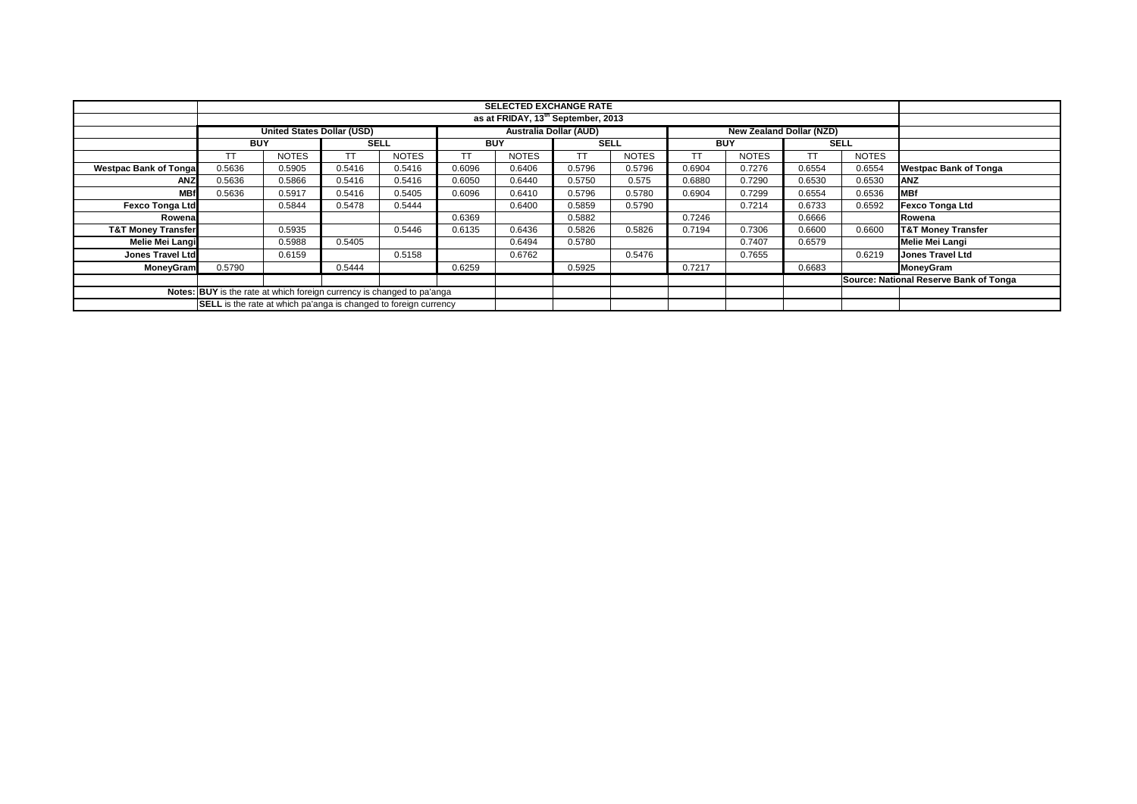|                                                                        |            |                                   |             |              |            | <b>SELECTED EXCHANGE RATE</b><br>as at FRIDAY, 13th September, 2013 |             |              |            |                                 |           |              |                                        |
|------------------------------------------------------------------------|------------|-----------------------------------|-------------|--------------|------------|---------------------------------------------------------------------|-------------|--------------|------------|---------------------------------|-----------|--------------|----------------------------------------|
|                                                                        |            |                                   |             |              |            |                                                                     |             |              |            |                                 |           |              |                                        |
|                                                                        |            | <b>United States Dollar (USD)</b> |             |              |            | <b>Australia Dollar (AUD)</b>                                       |             |              |            | <b>New Zealand Dollar (NZD)</b> |           |              |                                        |
|                                                                        | <b>BUY</b> |                                   | <b>SELL</b> |              | <b>BUY</b> |                                                                     | <b>SELL</b> |              | <b>BUY</b> |                                 |           | <b>SELL</b>  |                                        |
|                                                                        | TT         | <b>NOTES</b>                      | TТ          | <b>NOTES</b> | TT         | <b>NOTES</b>                                                        | <b>TT</b>   | <b>NOTES</b> | TТ         | <b>NOTES</b>                    | <b>TT</b> | <b>NOTES</b> |                                        |
| <b>Westpac Bank of Tonga</b>                                           | 0.5636     | 0.5905                            | 0.5416      | 0.5416       | 0.6096     | 0.6406                                                              | 0.5796      | 0.5796       | 0.6904     | 0.7276                          | 0.6554    | 0.6554       | <b>Westpac Bank of Tonga</b>           |
| ANZ                                                                    | 0.5636     | 0.5866                            | 0.5416      | 0.5416       | 0.6050     | 0.6440                                                              | 0.5750      | 0.575        | 0.6880     | 0.7290                          | 0.6530    | 0.6530       | <b>ANZ</b>                             |
| <b>MBf</b>                                                             | 0.5636     | 0.5917                            | 0.5416      | 0.5405       | 0.6096     | 0.6410                                                              | 0.5796      | 0.5780       | 0.6904     | 0.7299                          | 0.6554    | 0.6536       | <b>MBf</b>                             |
| <b>Fexco Tonga Ltd</b>                                                 |            | 0.5844                            | 0.5478      | 0.5444       |            | 0.6400                                                              | 0.5859      | 0.5790       |            | 0.7214                          | 0.6733    | 0.6592       | <b>Fexco Tonga Ltd</b>                 |
| Rowena                                                                 |            |                                   |             |              | 0.6369     |                                                                     | 0.5882      |              | 0.7246     |                                 | 0.6666    |              | Rowena                                 |
| <b>T&amp;T Money Transfer</b>                                          |            | 0.5935                            |             | 0.5446       | 0.6135     | 0.6436                                                              | 0.5826      | 0.5826       | 0.7194     | 0.7306                          | 0.6600    | 0.6600       | <b>T&amp;T Money Transfer</b>          |
| Melie Mei Langi                                                        |            | 0.5988                            | 0.5405      |              |            | 0.6494                                                              | 0.5780      |              |            | 0.7407                          | 0.6579    |              | <b>Melie Mei Langi</b>                 |
| <b>Jones Travel Ltd</b>                                                |            | 0.6159                            |             | 0.5158       |            | 0.6762                                                              |             | 0.5476       |            | 0.7655                          |           | 0.6219       | <b>Jones Travel Ltd</b>                |
| MoneyGram                                                              | 0.5790     |                                   | 0.5444      |              | 0.6259     |                                                                     | 0.5925      |              | 0.7217     |                                 | 0.6683    |              | MoneyGram                              |
|                                                                        |            |                                   |             |              |            |                                                                     |             |              |            |                                 |           |              | Source: National Reserve Bank of Tonga |
| Notes: BUY is the rate at which foreign currency is changed to pa'anga |            |                                   |             |              |            |                                                                     |             |              |            |                                 |           |              |                                        |
| SELL is the rate at which pa'anga is changed to foreign currency       |            |                                   |             |              |            |                                                                     |             |              |            |                                 |           |              |                                        |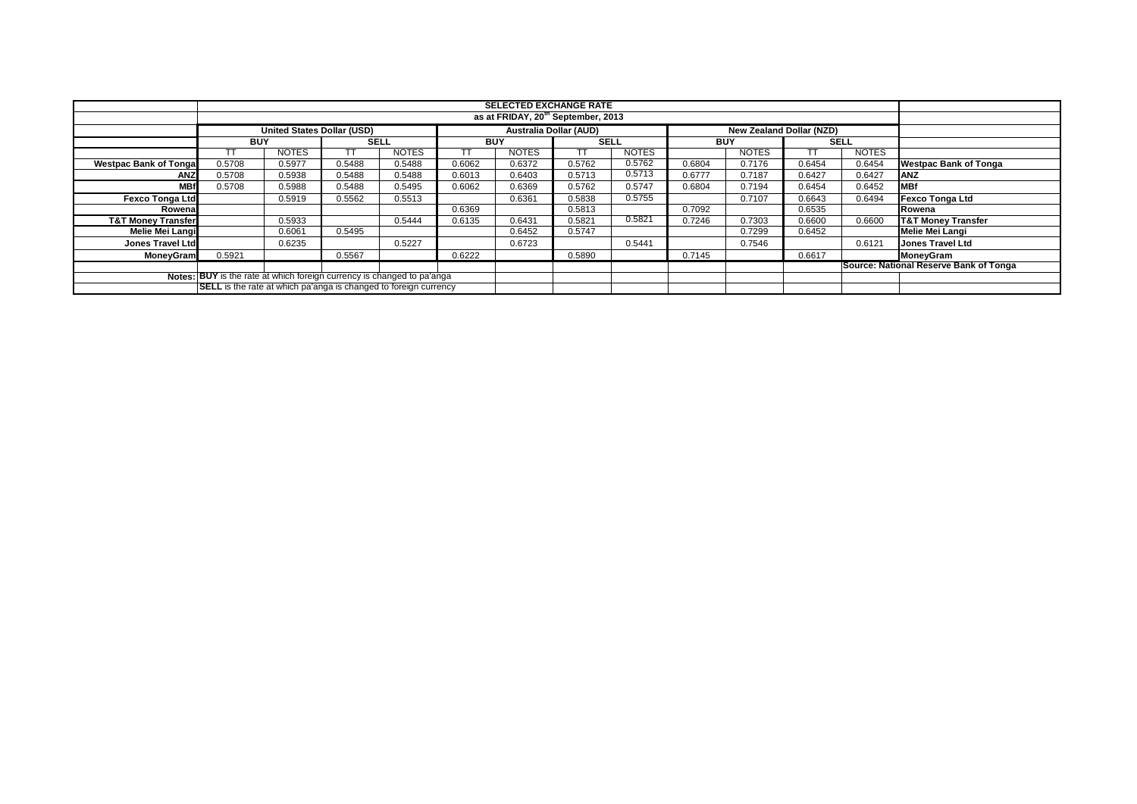|                               |                                                                         |                                   |        |              |            | <b>SELECTED EXCHANGE RATE</b><br>as at FRIDAY, 20 <sup>th</sup> September, 2013 |             |              |            |                                 |             |              |                                        |
|-------------------------------|-------------------------------------------------------------------------|-----------------------------------|--------|--------------|------------|---------------------------------------------------------------------------------|-------------|--------------|------------|---------------------------------|-------------|--------------|----------------------------------------|
|                               |                                                                         |                                   |        |              |            |                                                                                 |             |              |            |                                 |             |              |                                        |
|                               |                                                                         | <b>United States Dollar (USD)</b> |        |              |            | <b>Australia Dollar (AUD)</b>                                                   |             |              |            | <b>New Zealand Dollar (NZD)</b> |             |              |                                        |
|                               | <b>BUY</b>                                                              |                                   | SELL   |              | <b>BUY</b> |                                                                                 | <b>SELL</b> |              | <b>BUY</b> |                                 | <b>SELL</b> |              |                                        |
|                               |                                                                         | <b>NOTES</b>                      |        | <b>NOTES</b> |            | <b>NOTES</b>                                                                    | TТ          | <b>NOTES</b> |            | <b>NOTES</b>                    | ТT          | <b>NOTES</b> |                                        |
| <b>Westpac Bank of Tongal</b> | 0.5708                                                                  | 0.5977                            | 0.5488 | 0.5488       | 0.6062     | 0.6372                                                                          | 0.5762      | 0.5762       | 0.6804     | 0.7176                          | 0.6454      | 0.6454       | <b>Westpac Bank of Tonga</b>           |
| <b>ANZ</b>                    | 0.5708                                                                  | 0.5938                            | 0.5488 | 0.5488       | 0.6013     | 0.6403                                                                          | 0.5713      | 0.5713       | 0.6777     | 0.7187                          | 0.6427      | 0.6427       | <b>ANZ</b>                             |
| <b>MBf</b>                    | 0.5708                                                                  | 0.5988                            | 0.5488 | 0.5495       | 0.6062     | 0.6369                                                                          | 0.5762      | 0.5747       | 0.6804     | 0.7194                          | 0.6454      | 0.6452       | <b>MBf</b>                             |
| <b>Fexco Tonga Ltd</b>        |                                                                         | 0.5919                            | 0.5562 | 0.5513       |            | 0.6361                                                                          | 0.5838      | 0.5755       |            | 0.7107                          | 0.6643      | 0.6494       | <b>Fexco Tonga Ltd</b>                 |
| Rowenal                       |                                                                         |                                   |        |              | 0.6369     |                                                                                 | 0.5813      |              | 0.7092     |                                 | 0.6535      |              | Rowena                                 |
| <b>T&amp;T Money Transfer</b> |                                                                         | 0.5933                            |        | 0.5444       | 0.6135     | 0.6431                                                                          | 0.5821      | 0.5821       | 0.7246     | 0.7303                          | 0.6600      | 0.6600       | <b>T&amp;T Money Transfer</b>          |
| Melie Mei Langi               |                                                                         | 0.6061                            | 0.5495 |              |            | 0.6452                                                                          | 0.5747      |              |            | 0.7299                          | 0.6452      |              | Melie Mei Langi                        |
| <b>Jones Travel Ltd</b>       |                                                                         | 0.6235                            |        | 0.5227       |            | 0.6723                                                                          |             | 0.5441       |            | 0.7546                          |             | 0.6121       | <b>Jones Travel Ltd</b>                |
| <b>MoneyGram</b>              | 0.5921                                                                  |                                   | 0.5567 |              | 0.6222     |                                                                                 | 0.5890      |              | 0.7145     |                                 | 0.6617      |              | MoneyGram                              |
|                               |                                                                         |                                   |        |              |            |                                                                                 |             |              |            |                                 |             |              | Source: National Reserve Bank of Tonga |
|                               | Notes: BUY is the rate at which foreign currency is changed to pa'anga  |                                   |        |              |            |                                                                                 |             |              |            |                                 |             |              |                                        |
|                               | <b>SELL</b> is the rate at which pa'anga is changed to foreign currency |                                   |        |              |            |                                                                                 |             |              |            |                                 |             |              |                                        |